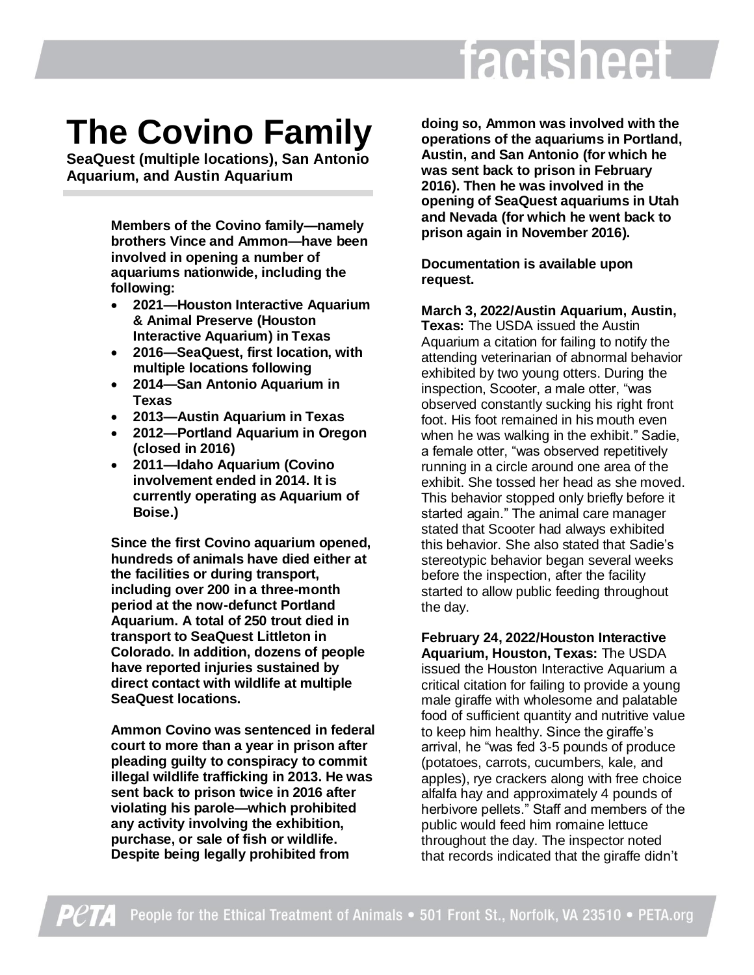# factsheet

# **The Covino Family**

**SeaQuest (multiple locations), San Antonio Aquarium, and Austin Aquarium**

> **Members of the Covino family—namely brothers Vince and Ammon—have been involved in opening a number of aquariums nationwide, including the following:**

- **2021—Houston Interactive Aquarium & Animal Preserve (Houston Interactive Aquarium) in Texas**
- **2016—SeaQuest, first location, with multiple locations following**
- **2014—San Antonio Aquarium in Texas**
- **2013—Austin Aquarium in Texas**
- **2012—Portland Aquarium in Oregon (closed in 2016)**
- **2011—Idaho Aquarium (Covino involvement ended in 2014. It is currently operating as Aquarium of Boise.)**

**Since the first Covino aquarium opened, hundreds of animals have died either at the facilities or during transport, including over 200 in a three-month period at the now-defunct Portland Aquarium. A total of 250 trout died in transport to SeaQuest Littleton in Colorado. In addition, dozens of people have reported injuries sustained by direct contact with wildlife at multiple SeaQuest locations.**

**Ammon Covino was sentenced in federal court to more than a year in prison after pleading guilty to conspiracy to commit illegal wildlife trafficking in 2013. He was sent back to prison twice in 2016 after violating his parole—which prohibited any activity involving the exhibition, purchase, or sale of fish or wildlife. Despite being legally prohibited from** 

**doing so, Ammon was involved with the operations of the aquariums in Portland, Austin, and San Antonio (for which he was sent back to prison in February 2016). Then he was involved in the opening of SeaQuest aquariums in Utah and Nevada (for which he went back to prison again in November 2016).**

**Documentation is available upon request.**

**March 3, 2022/Austin Aquarium, Austin, Texas:** The USDA issued the Austin

Aquarium a citation for failing to notify the attending veterinarian of abnormal behavior exhibited by two young otters. During the inspection, Scooter, a male otter, "was observed constantly sucking his right front foot. His foot remained in his mouth even when he was walking in the exhibit." Sadie, a female otter, "was observed repetitively running in a circle around one area of the exhibit. She tossed her head as she moved. This behavior stopped only briefly before it started again." The animal care manager stated that Scooter had always exhibited this behavior. She also stated that Sadie's stereotypic behavior began several weeks before the inspection, after the facility started to allow public feeding throughout the day.

**February 24, 2022/Houston Interactive Aquarium, Houston, Texas:** The USDA issued the Houston Interactive Aquarium a critical citation for failing to provide a young male giraffe with wholesome and palatable food of sufficient quantity and nutritive value to keep him healthy. Since the giraffe's arrival, he "was fed 3-5 pounds of produce (potatoes, carrots, cucumbers, kale, and apples), rye crackers along with free choice alfalfa hay and approximately 4 pounds of herbivore pellets." Staff and members of the public would feed him romaine lettuce throughout the day. The inspector noted that records indicated that the giraffe didn't

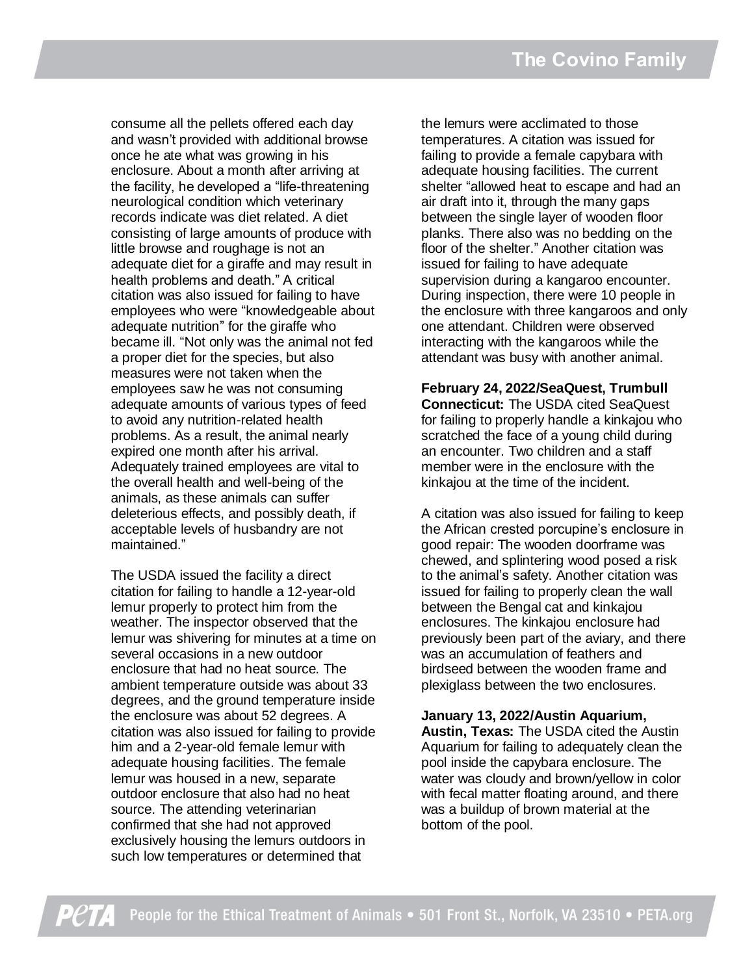consume all the pellets offered each day and wasn't provided with additional browse once he ate what was growing in his enclosure. About a month after arriving at the facility, he developed a "life-threatening neurological condition which veterinary records indicate was diet related. A diet consisting of large amounts of produce with little browse and roughage is not an adequate diet for a giraffe and may result in health problems and death." A critical citation was also issued for failing to have employees who were "knowledgeable about adequate nutrition" for the giraffe who became ill. "Not only was the animal not fed a proper diet for the species, but also measures were not taken when the employees saw he was not consuming adequate amounts of various types of feed to avoid any nutrition-related health problems. As a result, the animal nearly expired one month after his arrival. Adequately trained employees are vital to the overall health and well-being of the animals, as these animals can suffer deleterious effects, and possibly death, if acceptable levels of husbandry are not maintained."

The USDA issued the facility a direct citation for failing to handle a 12-year-old lemur properly to protect him from the weather. The inspector observed that the lemur was shivering for minutes at a time on several occasions in a new outdoor enclosure that had no heat source. The ambient temperature outside was about 33 degrees, and the ground temperature inside the enclosure was about 52 degrees. A citation was also issued for failing to provide him and a 2-year-old female lemur with adequate housing facilities. The female lemur was housed in a new, separate outdoor enclosure that also had no heat source. The attending veterinarian confirmed that she had not approved exclusively housing the lemurs outdoors in such low temperatures or determined that

the lemurs were acclimated to those temperatures. A citation was issued for failing to provide a female capybara with adequate housing facilities. The current shelter "allowed heat to escape and had an air draft into it, through the many gaps between the single layer of wooden floor planks. There also was no bedding on the floor of the shelter." Another citation was issued for failing to have adequate supervision during a kangaroo encounter. During inspection, there were 10 people in the enclosure with three kangaroos and only one attendant. Children were observed interacting with the kangaroos while the attendant was busy with another animal.

**February 24, 2022/SeaQuest, Trumbull Connecticut:** The USDA cited SeaQuest for failing to properly handle a kinkajou who scratched the face of a young child during an encounter. Two children and a staff member were in the enclosure with the kinkajou at the time of the incident.

A citation was also issued for failing to keep the African crested porcupine's enclosure in good repair: The wooden doorframe was chewed, and splintering wood posed a risk to the animal's safety. Another citation was issued for failing to properly clean the wall between the Bengal cat and kinkajou enclosures. The kinkajou enclosure had previously been part of the aviary, and there was an accumulation of feathers and birdseed between the wooden frame and plexiglass between the two enclosures.

#### **January 13, 2022/Austin Aquarium,**

**Austin, Texas:** The USDA cited the Austin Aquarium for failing to adequately clean the pool inside the capybara enclosure. The water was cloudy and brown/yellow in color with fecal matter floating around, and there was a buildup of brown material at the bottom of the pool.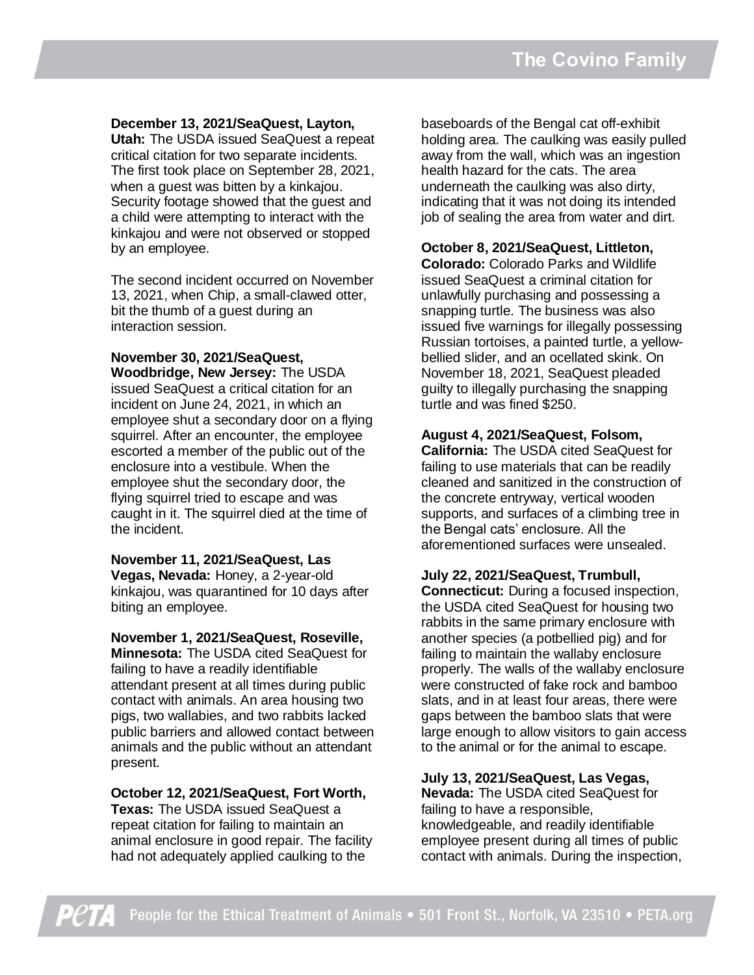#### **December 13, 2021/SeaQuest, Layton,**

**Utah:** The USDA issued SeaQuest a repeat critical citation for two separate incidents. The first took place on September 28, 2021, when a guest was bitten by a kinkajou. Security footage showed that the guest and a child were attempting to interact with the kinkajou and were not observed or stopped by an employee.

The second incident occurred on November 13, 2021, when Chip, a small-clawed otter, bit the thumb of a guest during an interaction session.

#### **November 30, 2021/SeaQuest, Woodbridge, New Jersey:** The USDA issued SeaQuest a critical citation for an incident on June 24, 2021, in which an employee shut a secondary door on a flying squirrel. After an encounter, the employee escorted a member of the public out of the enclosure into a vestibule. When the employee shut the secondary door, the flying squirrel tried to escape and was caught in it. The squirrel died at the time of the incident.

**November 11, 2021/SeaQuest, Las Vegas, Nevada:** Honey, a 2-year-old kinkajou, was quarantined for 10 days after biting an employee.

#### **November 1, 2021/SeaQuest, Roseville,**

**Minnesota:** The USDA cited SeaQuest for failing to have a readily identifiable attendant present at all times during public contact with animals. An area housing two pigs, two wallabies, and two rabbits lacked public barriers and allowed contact between animals and the public without an attendant present.

#### **October 12, 2021/SeaQuest, Fort Worth,**

**Texas:** The USDA issued SeaQuest a repeat citation for failing to maintain an animal enclosure in good repair. The facility had not adequately applied caulking to the

baseboards of the Bengal cat off-exhibit holding area. The caulking was easily pulled away from the wall, which was an ingestion health hazard for the cats. The area underneath the caulking was also dirty, indicating that it was not doing its intended job of sealing the area from water and dirt.

#### **October 8, 2021/SeaQuest, Littleton,**

**Colorado:** Colorado Parks and Wildlife issued SeaQuest a criminal citation for unlawfully purchasing and possessing a snapping turtle. The business was also issued five warnings for illegally possessing Russian tortoises, a painted turtle, a yellowbellied slider, and an ocellated skink. On November 18, 2021, SeaQuest pleaded guilty to illegally purchasing the snapping turtle and was fined \$250.

#### **August 4, 2021/SeaQuest, Folsom,**

**California:** The USDA cited SeaQuest for failing to use materials that can be readily cleaned and sanitized in the construction of the concrete entryway, vertical wooden supports, and surfaces of a climbing tree in the Bengal cats' enclosure. All the aforementioned surfaces were unsealed.

#### **July 22, 2021/SeaQuest, Trumbull,**

**Connecticut:** During a focused inspection, the USDA cited SeaQuest for housing two rabbits in the same primary enclosure with another species (a potbellied pig) and for failing to maintain the wallaby enclosure properly. The walls of the wallaby enclosure were constructed of fake rock and bamboo slats, and in at least four areas, there were gaps between the bamboo slats that were large enough to allow visitors to gain access to the animal or for the animal to escape.

#### **July 13, 2021/SeaQuest, Las Vegas,**

**Nevada:** The USDA cited SeaQuest for failing to have a responsible, knowledgeable, and readily identifiable employee present during all times of public contact with animals. During the inspection,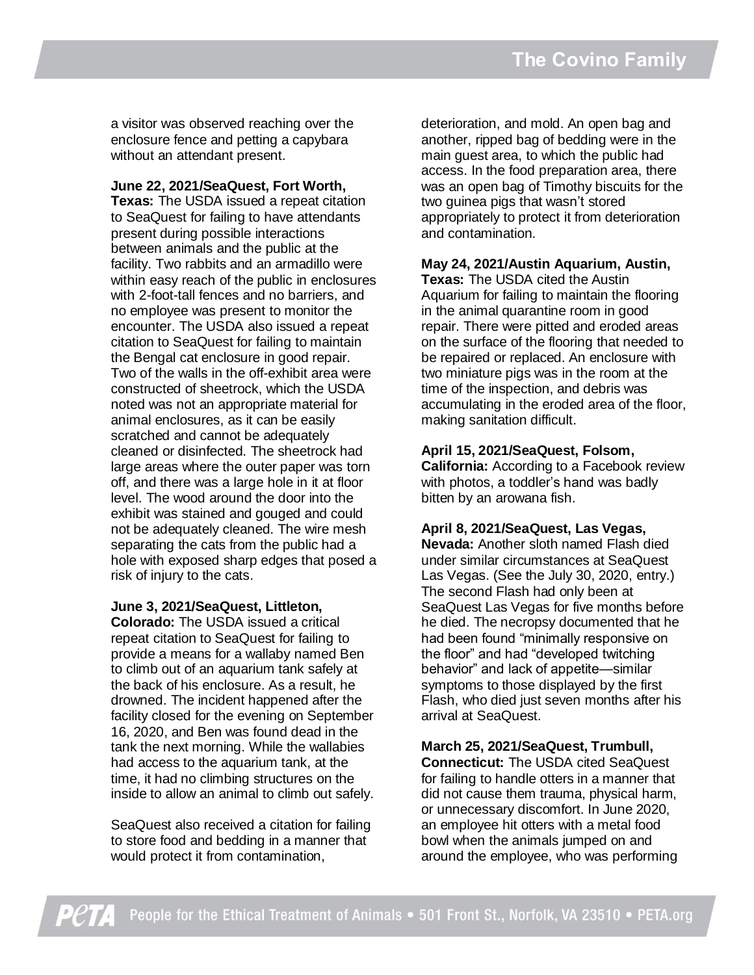a visitor was observed reaching over the enclosure fence and petting a capybara without an attendant present.

#### **June 22, 2021/SeaQuest, Fort Worth,**

**Texas:** The USDA issued a repeat citation to SeaQuest for failing to have attendants present during possible interactions between animals and the public at the facility. Two rabbits and an armadillo were within easy reach of the public in enclosures with 2-foot-tall fences and no barriers, and no employee was present to monitor the encounter. The USDA also issued a repeat citation to SeaQuest for failing to maintain the Bengal cat enclosure in good repair. Two of the walls in the off-exhibit area were constructed of sheetrock, which the USDA noted was not an appropriate material for animal enclosures, as it can be easily scratched and cannot be adequately cleaned or disinfected. The sheetrock had large areas where the outer paper was torn off, and there was a large hole in it at floor level. The wood around the door into the exhibit was stained and gouged and could not be adequately cleaned. The wire mesh separating the cats from the public had a hole with exposed sharp edges that posed a risk of injury to the cats.

**June 3, 2021/SeaQuest, Littleton,** 

**Colorado:** The USDA issued a critical repeat citation to SeaQuest for failing to provide a means for a wallaby named Ben to climb out of an aquarium tank safely at the back of his enclosure. As a result, he drowned. The incident happened after the facility closed for the evening on September 16, 2020, and Ben was found dead in the tank the next morning. While the wallabies had access to the aquarium tank, at the time, it had no climbing structures on the inside to allow an animal to climb out safely.

SeaQuest also received a citation for failing to store food and bedding in a manner that would protect it from contamination,

deterioration, and mold. An open bag and another, ripped bag of bedding were in the main guest area, to which the public had access. In the food preparation area, there was an open bag of Timothy biscuits for the two guinea pigs that wasn't stored appropriately to protect it from deterioration and contamination.

# **May 24, 2021/Austin Aquarium, Austin,**

**Texas:** The USDA cited the Austin Aquarium for failing to maintain the flooring in the animal quarantine room in good repair. There were pitted and eroded areas on the surface of the flooring that needed to be repaired or replaced. An enclosure with two miniature pigs was in the room at the time of the inspection, and debris was accumulating in the eroded area of the floor, making sanitation difficult.

#### **April 15, 2021/SeaQuest, Folsom,**

**California:** According to a Facebook review with photos, a toddler's hand was badly bitten by an arowana fish.

#### **April 8, 2021/SeaQuest, Las Vegas,**

**Nevada:** Another sloth named Flash died under similar circumstances at SeaQuest Las Vegas. (See the July 30, 2020, entry.) The second Flash had only been at SeaQuest Las Vegas for five months before he died. The necropsy documented that he had been found "minimally responsive on the floor" and had "developed twitching behavior" and lack of appetite—similar symptoms to those displayed by the first Flash, who died just seven months after his arrival at SeaQuest.

#### **March 25, 2021/SeaQuest, Trumbull,**

**Connecticut:** The USDA cited SeaQuest for failing to handle otters in a manner that did not cause them trauma, physical harm, or unnecessary discomfort. In June 2020, an employee hit otters with a metal food bowl when the animals jumped on and around the employee, who was performing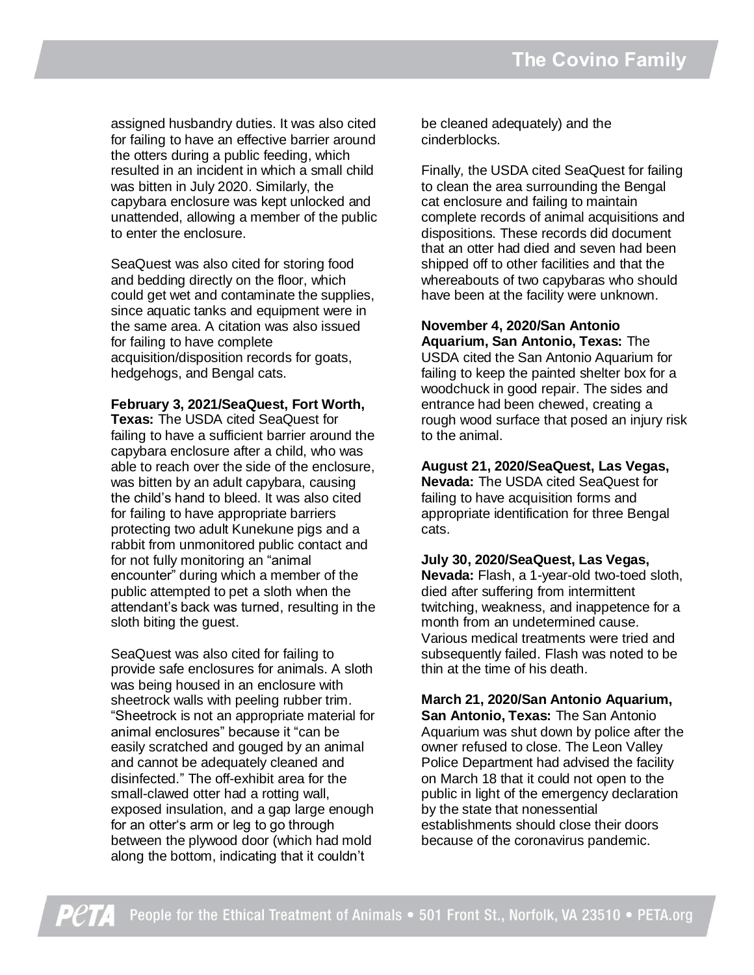assigned husbandry duties. It was also cited for failing to have an effective barrier around the otters during a public feeding, which resulted in an incident in which a small child was bitten in July 2020. Similarly, the capybara enclosure was kept unlocked and unattended, allowing a member of the public to enter the enclosure.

SeaQuest was also cited for storing food and bedding directly on the floor, which could get wet and contaminate the supplies, since aquatic tanks and equipment were in the same area. A citation was also issued for failing to have complete acquisition/disposition records for goats, hedgehogs, and Bengal cats.

**February 3, 2021/SeaQuest, Fort Worth, Texas:** The USDA cited SeaQuest for failing to have a sufficient barrier around the capybara enclosure after a child, who was able to reach over the side of the enclosure, was bitten by an adult capybara, causing the child's hand to bleed. It was also cited for failing to have appropriate barriers protecting two adult Kunekune pigs and a rabbit from unmonitored public contact and for not fully monitoring an "animal encounter" during which a member of the public attempted to pet a sloth when the attendant's back was turned, resulting in the sloth biting the guest.

SeaQuest was also cited for failing to provide safe enclosures for animals. A sloth was being housed in an enclosure with sheetrock walls with peeling rubber trim. "Sheetrock is not an appropriate material for animal enclosures" because it "can be easily scratched and gouged by an animal and cannot be adequately cleaned and disinfected." The off-exhibit area for the small-clawed otter had a rotting wall, exposed insulation, and a gap large enough for an otter's arm or leg to go through between the plywood door (which had mold along the bottom, indicating that it couldn't

be cleaned adequately) and the cinderblocks.

Finally, the USDA cited SeaQuest for failing to clean the area surrounding the Bengal cat enclosure and failing to maintain complete records of animal acquisitions and dispositions. These records did document that an otter had died and seven had been shipped off to other facilities and that the whereabouts of two capybaras who should have been at the facility were unknown.

**November 4, 2020/San Antonio Aquarium, San Antonio, Texas:** The USDA cited the San Antonio Aquarium for failing to keep the painted shelter box for a woodchuck in good repair. The sides and entrance had been chewed, creating a rough wood surface that posed an injury risk to the animal.

**August 21, 2020/SeaQuest, Las Vegas, Nevada:** The USDA cited SeaQuest for failing to have acquisition forms and appropriate identification for three Bengal cats.

**July 30, 2020/SeaQuest, Las Vegas, Nevada:** Flash, a 1-year-old two-toed sloth, died after suffering from intermittent twitching, weakness, and inappetence for a month from an undetermined cause. Various medical treatments were tried and subsequently failed. Flash was noted to be thin at the time of his death.

**March 21, 2020/San Antonio Aquarium, San Antonio, Texas:** The San Antonio Aquarium was shut down by police after the owner refused to close. The Leon Valley Police Department had advised the facility on March 18 that it could not open to the public in light of the emergency declaration by the state that nonessential establishments should close their doors because of the coronavirus pandemic.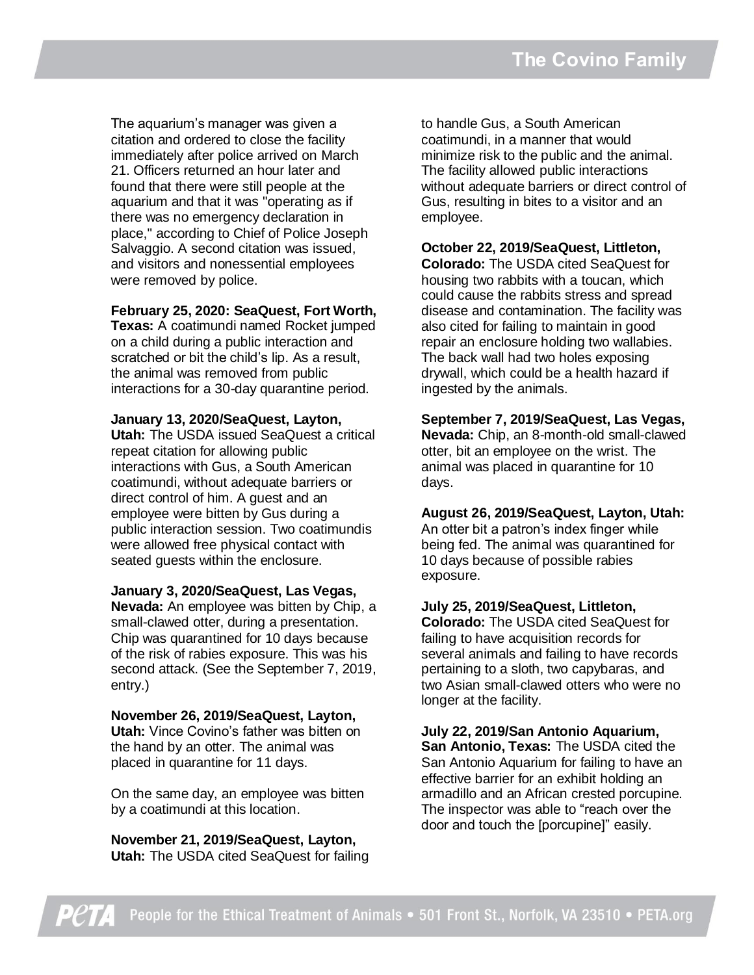The aquarium's manager was given a citation and ordered to close the facility immediately after police arrived on March 21. Officers returned an hour later and found that there were still people at the aquarium and that it was "operating as if there was no emergency declaration in place," according to Chief of Police Joseph Salvaggio. A second citation was issued, and visitors and nonessential employees were removed by police.

#### **February 25, 2020: SeaQuest, Fort Worth,**

**Texas:** A coatimundi named Rocket jumped on a child during a public interaction and scratched or bit the child's lip. As a result, the animal was removed from public interactions for a 30-day quarantine period.

**January 13, 2020/SeaQuest, Layton,** 

**Utah:** The USDA issued SeaQuest a critical repeat citation for allowing public interactions with Gus, a South American coatimundi, without adequate barriers or direct control of him. A guest and an employee were bitten by Gus during a public interaction session. Two coatimundis were allowed free physical contact with seated guests within the enclosure.

#### **January 3, 2020/SeaQuest, Las Vegas,**

**Nevada:** An employee was bitten by Chip, a small-clawed otter, during a presentation. Chip was quarantined for 10 days because of the risk of rabies exposure. This was his second attack. (See the September 7, 2019, entry.)

**November 26, 2019/SeaQuest, Layton, Utah:** Vince Covino's father was bitten on the hand by an otter. The animal was placed in quarantine for 11 days.

On the same day, an employee was bitten by a coatimundi at this location.

**November 21, 2019/SeaQuest, Layton, Utah:** The USDA cited SeaQuest for failing to handle Gus, a South American coatimundi, in a manner that would minimize risk to the public and the animal. The facility allowed public interactions without adequate barriers or direct control of Gus, resulting in bites to a visitor and an employee.

**October 22, 2019/SeaQuest, Littleton, Colorado:** The USDA cited SeaQuest for housing two rabbits with a toucan, which could cause the rabbits stress and spread disease and contamination. The facility was also cited for failing to maintain in good repair an enclosure holding two wallabies. The back wall had two holes exposing drywall, which could be a health hazard if ingested by the animals.

**September 7, 2019/SeaQuest, Las Vegas, Nevada:** Chip, an 8-month-old small-clawed otter, bit an employee on the wrist. The animal was placed in quarantine for 10 days.

**August 26, 2019/SeaQuest, Layton, Utah:** An otter bit a patron's index finger while being fed. The animal was quarantined for 10 days because of possible rabies exposure.

#### **July 25, 2019/SeaQuest, Littleton,**

**Colorado:** The USDA cited SeaQuest for failing to have acquisition records for several animals and failing to have records pertaining to a sloth, two capybaras, and two Asian small-clawed otters who were no longer at the facility.

**July 22, 2019/San Antonio Aquarium, San Antonio, Texas:** The USDA cited the San Antonio Aquarium for failing to have an effective barrier for an exhibit holding an armadillo and an African crested porcupine. The inspector was able to "reach over the door and touch the [porcupine]" easily.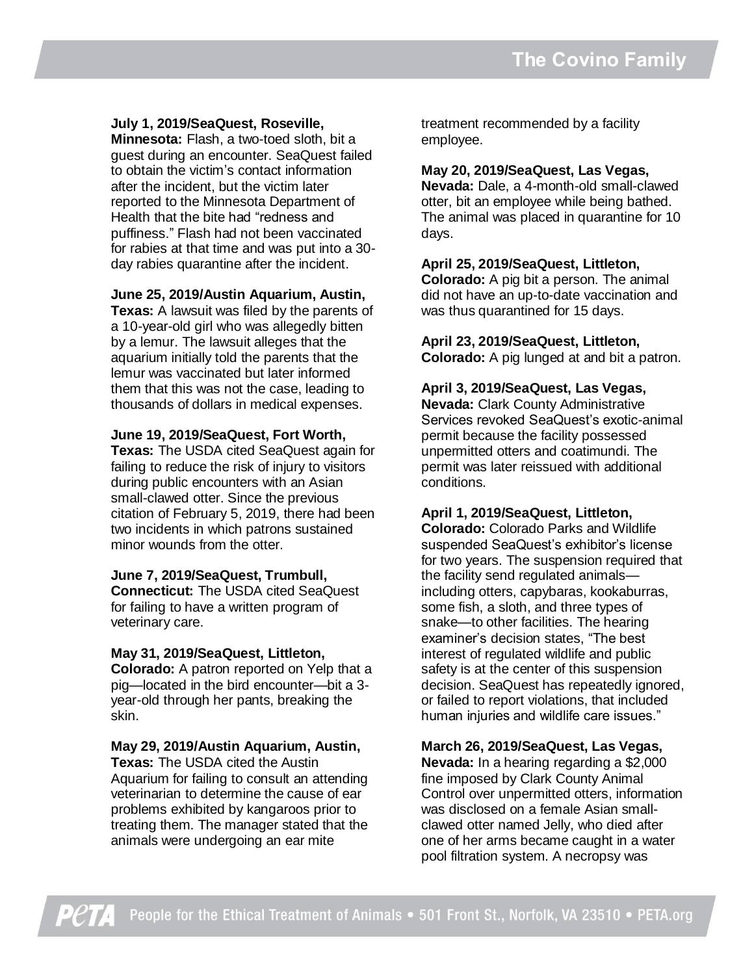#### **July 1, 2019/SeaQuest, Roseville,**

**Minnesota:** Flash, a two-toed sloth, bit a guest during an encounter. SeaQuest failed to obtain the victim's contact information after the incident, but the victim later reported to the Minnesota Department of Health that the bite had "redness and puffiness." Flash had not been vaccinated for rabies at that time and was put into a 30 day rabies quarantine after the incident.

#### **June 25, 2019/Austin Aquarium, Austin,**

**Texas:** A lawsuit was filed by the parents of a 10-year-old girl who was allegedly bitten by a lemur. The lawsuit alleges that the aquarium initially told the parents that the lemur was vaccinated but later informed them that this was not the case, leading to thousands of dollars in medical expenses.

#### **June 19, 2019/SeaQuest, Fort Worth,**

**Texas:** The USDA cited SeaQuest again for failing to reduce the risk of injury to visitors during public encounters with an Asian small-clawed otter. Since the previous citation of February 5, 2019, there had been two incidents in which patrons sustained minor wounds from the otter.

#### **June 7, 2019/SeaQuest, Trumbull,**

**Connecticut:** The USDA cited SeaQuest for failing to have a written program of veterinary care.

#### **May 31, 2019/SeaQuest, Littleton,**

**Colorado:** A patron reported on Yelp that a pig—located in the bird encounter—bit a 3 year-old through her pants, breaking the skin.

#### **May 29, 2019/Austin Aquarium, Austin,**

**Texas:** The USDA cited the Austin Aquarium for failing to consult an attending veterinarian to determine the cause of ear problems exhibited by kangaroos prior to treating them. The manager stated that the animals were undergoing an ear mite

treatment recommended by a facility employee.

#### **May 20, 2019/SeaQuest, Las Vegas,**

**Nevada:** Dale, a 4-month-old small-clawed otter, bit an employee while being bathed. The animal was placed in quarantine for 10 days.

#### **April 25, 2019/SeaQuest, Littleton,**

**Colorado:** A pig bit a person. The animal did not have an up-to-date vaccination and was thus quarantined for 15 days.

# **April 23, 2019/SeaQuest, Littleton,**

**Colorado:** A pig lunged at and bit a patron.

#### **April 3, 2019/SeaQuest, Las Vegas,**

**Nevada:** Clark County Administrative Services revoked SeaQuest's exotic-animal permit because the facility possessed unpermitted otters and coatimundi. The permit was later reissued with additional conditions.

#### **April 1, 2019/SeaQuest, Littleton,**

**Colorado:** Colorado Parks and Wildlife suspended SeaQuest's exhibitor's license for two years. The suspension required that the facility send regulated animals including otters, capybaras, kookaburras, some fish, a sloth, and three types of snake—to other facilities. The hearing examiner's decision states, "The best interest of regulated wildlife and public safety is at the center of this suspension decision. SeaQuest has repeatedly ignored, or failed to report violations, that included human injuries and wildlife care issues."

#### **March 26, 2019/SeaQuest, Las Vegas,**

**Nevada:** In a hearing regarding a \$2,000 fine imposed by Clark County Animal Control over unpermitted otters, information was disclosed on a female Asian smallclawed otter named Jelly, who died after one of her arms became caught in a water pool filtration system. A necropsy was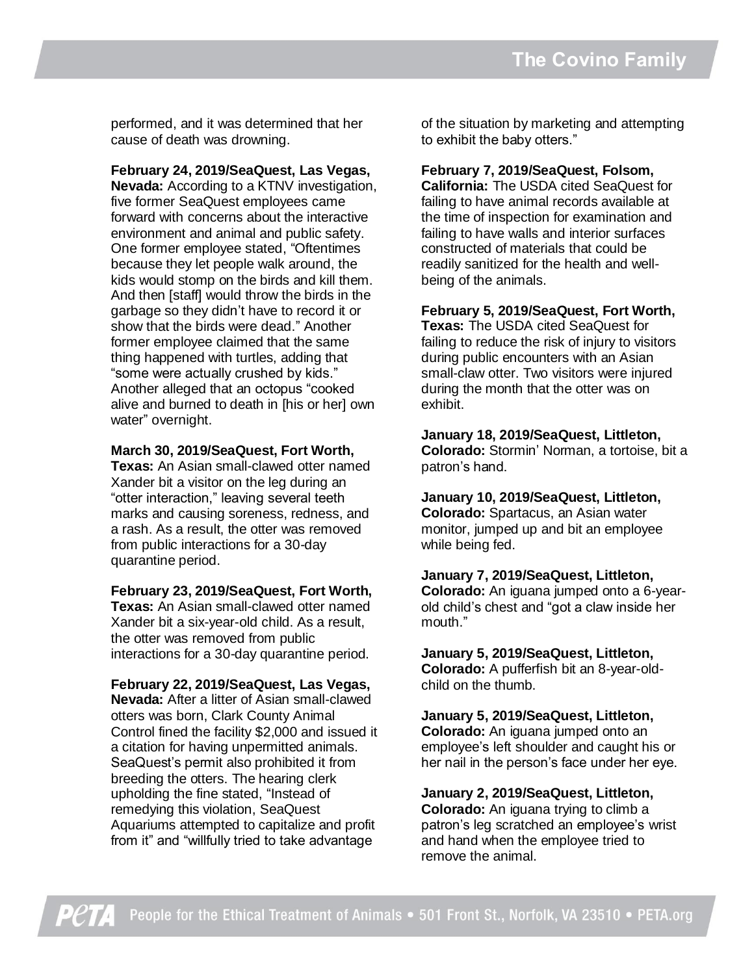performed, and it was determined that her cause of death was drowning.

**February 24, 2019/SeaQuest, Las Vegas, Nevada:** According to a KTNV investigation, five former SeaQuest employees came forward with concerns about the interactive environment and animal and public safety. One former employee stated, "Oftentimes because they let people walk around, the kids would stomp on the birds and kill them. And then [staff] would throw the birds in the garbage so they didn't have to record it or show that the birds were dead." Another former employee claimed that the same thing happened with turtles, adding that "some were actually crushed by kids." Another alleged that an octopus "cooked alive and burned to death in [his or her] own water" overnight.

#### **March 30, 2019/SeaQuest, Fort Worth,**

**Texas:** An Asian small-clawed otter named Xander bit a visitor on the leg during an "otter interaction," leaving several teeth marks and causing soreness, redness, and a rash. As a result, the otter was removed from public interactions for a 30-day quarantine period.

#### **February 23, 2019/SeaQuest, Fort Worth,**

**Texas:** An Asian small-clawed otter named Xander bit a six-year-old child. As a result, the otter was removed from public interactions for a 30-day quarantine period.

#### **February 22, 2019/SeaQuest, Las Vegas,**

**Nevada:** After a litter of Asian small-clawed otters was born, Clark County Animal Control fined the facility \$2,000 and issued it a citation for having unpermitted animals. SeaQuest's permit also prohibited it from breeding the otters. The hearing clerk upholding the fine stated, "Instead of remedying this violation, SeaQuest Aquariums attempted to capitalize and profit from it" and "willfully tried to take advantage

of the situation by marketing and attempting to exhibit the baby otters."

#### **February 7, 2019/SeaQuest, Folsom,**

**California:** The USDA cited SeaQuest for failing to have animal records available at the time of inspection for examination and failing to have walls and interior surfaces constructed of materials that could be readily sanitized for the health and wellbeing of the animals.

#### **February 5, 2019/SeaQuest, Fort Worth,**

**Texas:** The USDA cited SeaQuest for failing to reduce the risk of injury to visitors during public encounters with an Asian small-claw otter. Two visitors were injured during the month that the otter was on exhibit.

**January 18, 2019/SeaQuest, Littleton, Colorado:** Stormin' Norman, a tortoise, bit a patron's hand.

**January 10, 2019/SeaQuest, Littleton, Colorado:** Spartacus, an Asian water monitor, jumped up and bit an employee while being fed.

**January 7, 2019/SeaQuest, Littleton, Colorado:** An iguana jumped onto a 6-yearold child's chest and "got a claw inside her mouth."

**January 5, 2019/SeaQuest, Littleton, Colorado:** A pufferfish bit an 8-year-oldchild on the thumb.

**January 5, 2019/SeaQuest, Littleton, Colorado:** An iguana jumped onto an employee's left shoulder and caught his or her nail in the person's face under her eye.

**January 2, 2019/SeaQuest, Littleton, Colorado:** An iguana trying to climb a patron's leg scratched an employee's wrist and hand when the employee tried to remove the animal.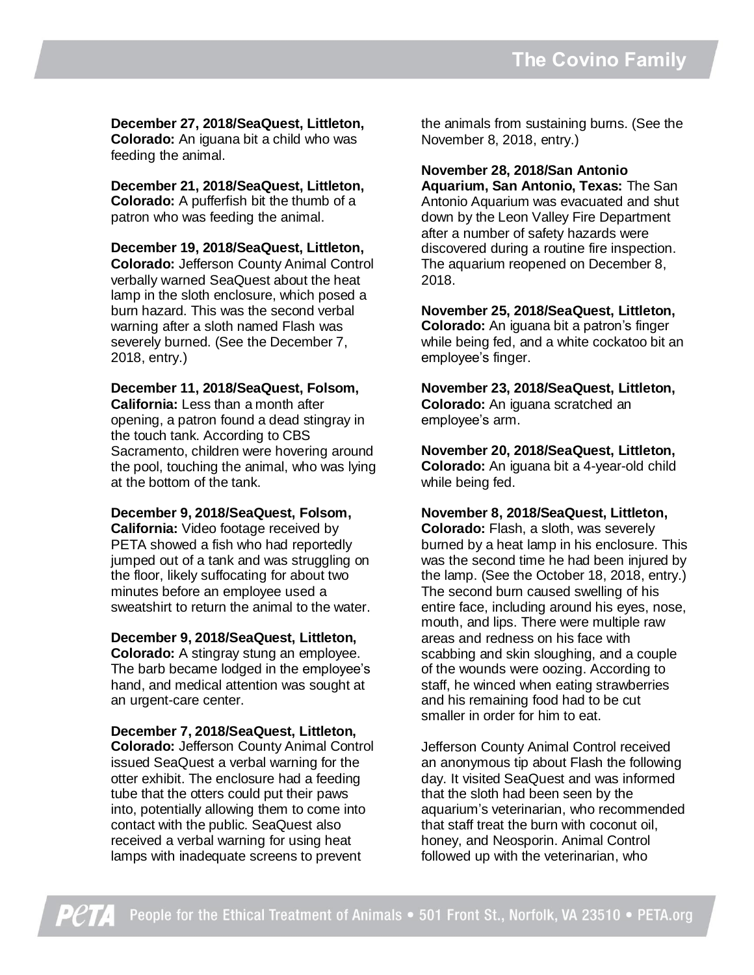**December 27, 2018/SeaQuest, Littleton, Colorado:** An iguana bit a child who was feeding the animal.

**December 21, 2018/SeaQuest, Littleton, Colorado:** A pufferfish bit the thumb of a patron who was feeding the animal.

**December 19, 2018/SeaQuest, Littleton, Colorado:** Jefferson County Animal Control verbally warned SeaQuest about the heat lamp in the sloth enclosure, which posed a burn hazard. This was the second verbal warning after a sloth named Flash was severely burned. (See the December 7, 2018, entry.)

# **December 11, 2018/SeaQuest, Folsom,**

**California:** Less than a month after opening, a patron found a dead stingray in the touch tank. According to CBS Sacramento, children were hovering around the pool, touching the animal, who was lying at the bottom of the tank.

#### **December 9, 2018/SeaQuest, Folsom,**

**California:** Video footage received by PETA showed a fish who had reportedly jumped out of a tank and was struggling on the floor, likely suffocating for about two minutes before an employee used a sweatshirt to return the animal to the water.

#### **December 9, 2018/SeaQuest, Littleton,**

**Colorado:** A stingray stung an employee. The barb became lodged in the employee's hand, and medical attention was sought at an urgent-care center.

**December 7, 2018/SeaQuest, Littleton, Colorado:** Jefferson County Animal Control issued SeaQuest a verbal warning for the otter exhibit. The enclosure had a feeding tube that the otters could put their paws into, potentially allowing them to come into contact with the public. SeaQuest also received a verbal warning for using heat lamps with inadequate screens to prevent

the animals from sustaining burns. (See the November 8, 2018, entry.)

**November 28, 2018/San Antonio Aquarium, San Antonio, Texas:** The San Antonio Aquarium was evacuated and shut down by the Leon Valley Fire Department after a number of safety hazards were discovered during a routine fire inspection. The aquarium reopened on December 8, 2018.

**November 25, 2018/SeaQuest, Littleton, Colorado:** An iguana bit a patron's finger while being fed, and a white cockatoo bit an employee's finger.

**November 23, 2018/SeaQuest, Littleton, Colorado:** An iguana scratched an employee's arm.

**November 20, 2018/SeaQuest, Littleton, Colorado:** An iguana bit a 4-year-old child while being fed.

**November 8, 2018/SeaQuest, Littleton, Colorado:** Flash, a sloth, was severely burned by a heat lamp in his enclosure. This was the second time he had been injured by the lamp. (See the October 18, 2018, entry.) The second burn caused swelling of his entire face, including around his eyes, nose, mouth, and lips. There were multiple raw areas and redness on his face with scabbing and skin sloughing, and a couple of the wounds were oozing. According to staff, he winced when eating strawberries and his remaining food had to be cut smaller in order for him to eat.

Jefferson County Animal Control received an anonymous tip about Flash the following day. It visited SeaQuest and was informed that the sloth had been seen by the aquarium's veterinarian, who recommended that staff treat the burn with coconut oil, honey, and Neosporin. Animal Control followed up with the veterinarian, who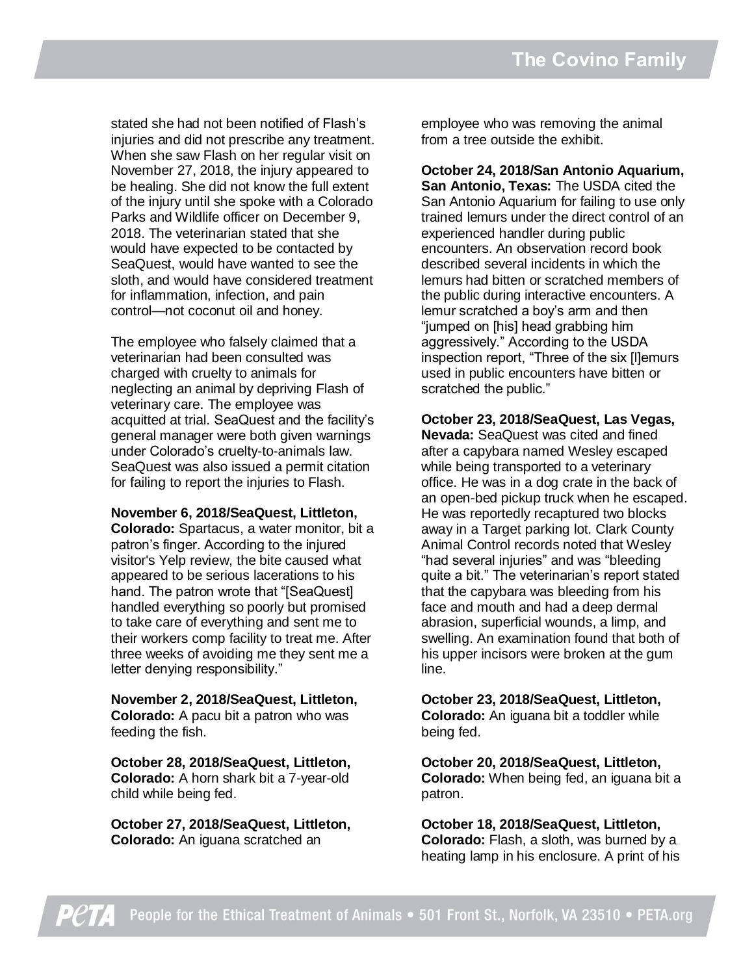stated she had not been notified of Flash's injuries and did not prescribe any treatment. When she saw Flash on her regular visit on November 27, 2018, the injury appeared to be healing. She did not know the full extent of the injury until she spoke with a Colorado Parks and Wildlife officer on December 9, 2018. The veterinarian stated that she would have expected to be contacted by SeaQuest, would have wanted to see the sloth, and would have considered treatment for inflammation, infection, and pain control—not coconut oil and honey.

The employee who falsely claimed that a veterinarian had been consulted was charged with cruelty to animals for neglecting an animal by depriving Flash of veterinary care. The employee was acquitted at trial. SeaQuest and the facility's general manager were both given warnings under Colorado's cruelty-to-animals law. SeaQuest was also issued a permit citation for failing to report the injuries to Flash.

#### **November 6, 2018/SeaQuest, Littleton,**

**Colorado:** Spartacus, a water monitor, bit a patron's finger. According to the injured visitor's Yelp review, the bite caused what appeared to be serious lacerations to his hand. The patron wrote that "[SeaQuest] handled everything so poorly but promised to take care of everything and sent me to their workers comp facility to treat me. After three weeks of avoiding me they sent me a letter denying responsibility."

#### **November 2, 2018/SeaQuest, Littleton, Colorado:** A pacu bit a patron who was feeding the fish.

**October 28, 2018/SeaQuest, Littleton, Colorado:** A horn shark bit a 7-year-old child while being fed.

**October 27, 2018/SeaQuest, Littleton, Colorado:** An iguana scratched an

employee who was removing the animal from a tree outside the exhibit.

**October 24, 2018/San Antonio Aquarium, San Antonio, Texas:** The USDA cited the San Antonio Aquarium for failing to use only trained lemurs under the direct control of an experienced handler during public encounters. An observation record book described several incidents in which the lemurs had bitten or scratched members of the public during interactive encounters. A lemur scratched a boy's arm and then "jumped on [his] head grabbing him aggressively." According to the USDA inspection report, "Three of the six [l]emurs used in public encounters have bitten or scratched the public."

**October 23, 2018/SeaQuest, Las Vegas, Nevada:** SeaQuest was cited and fined after a capybara named Wesley escaped while being transported to a veterinary office. He was in a dog crate in the back of an open-bed pickup truck when he escaped. He was reportedly recaptured two blocks away in a Target parking lot. Clark County Animal Control records noted that Wesley "had several injuries" and was "bleeding quite a bit." The veterinarian's report stated that the capybara was bleeding from his face and mouth and had a deep dermal abrasion, superficial wounds, a limp, and swelling. An examination found that both of his upper incisors were broken at the gum line.

## **October 23, 2018/SeaQuest, Littleton, Colorado:** An iguana bit a toddler while

being fed.

**October 20, 2018/SeaQuest, Littleton, Colorado:** When being fed, an iguana bit a patron.

**October 18, 2018/SeaQuest, Littleton, Colorado:** Flash, a sloth, was burned by a heating lamp in his enclosure. A print of his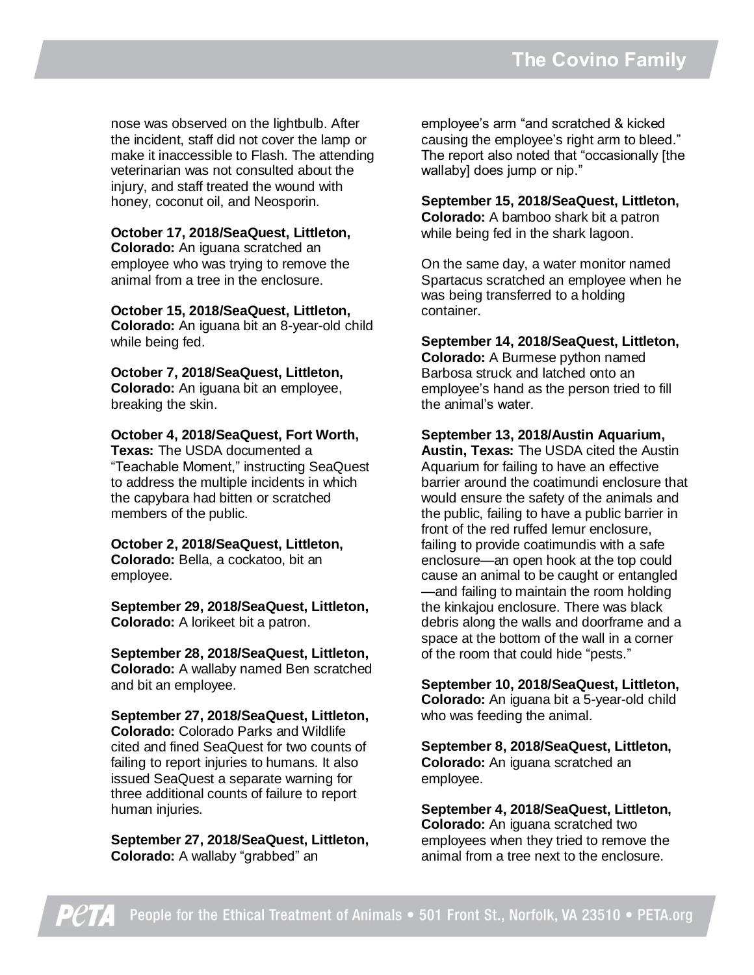nose was observed on the lightbulb. After the incident, staff did not cover the lamp or make it inaccessible to Flash. The attending veterinarian was not consulted about the injury, and staff treated the wound with honey, coconut oil, and Neosporin.

#### **October 17, 2018/SeaQuest, Littleton,**

**Colorado:** An iguana scratched an employee who was trying to remove the animal from a tree in the enclosure.

#### **October 15, 2018/SeaQuest, Littleton,**

**Colorado:** An iguana bit an 8-year-old child while being fed.

**October 7, 2018/SeaQuest, Littleton, Colorado:** An iguana bit an employee, breaking the skin.

#### **October 4, 2018/SeaQuest, Fort Worth,**

**Texas:** The USDA documented a "Teachable Moment," instructing SeaQuest to address the multiple incidents in which the capybara had bitten or scratched members of the public.

**October 2, 2018/SeaQuest, Littleton, Colorado:** Bella, a cockatoo, bit an employee.

**September 29, 2018/SeaQuest, Littleton, Colorado:** A lorikeet bit a patron.

**September 28, 2018/SeaQuest, Littleton, Colorado:** A wallaby named Ben scratched and bit an employee.

**September 27, 2018/SeaQuest, Littleton, Colorado:** Colorado Parks and Wildlife cited and fined SeaQuest for two counts of failing to report injuries to humans. It also issued SeaQuest a separate warning for three additional counts of failure to report human injuries.

**September 27, 2018/SeaQuest, Littleton, Colorado:** A wallaby "grabbed" an

employee's arm "and scratched & kicked causing the employee's right arm to bleed." The report also noted that "occasionally [the wallaby] does jump or nip."

**September 15, 2018/SeaQuest, Littleton, Colorado:** A bamboo shark bit a patron while being fed in the shark lagoon.

On the same day, a water monitor named Spartacus scratched an employee when he was being transferred to a holding container.

**September 14, 2018/SeaQuest, Littleton, Colorado:** A Burmese python named Barbosa struck and latched onto an employee's hand as the person tried to fill the animal's water.

**September 13, 2018/Austin Aquarium,** 

**Austin, Texas:** The USDA cited the Austin Aquarium for failing to have an effective barrier around the coatimundi enclosure that would ensure the safety of the animals and the public, failing to have a public barrier in front of the red ruffed lemur enclosure, failing to provide coatimundis with a safe enclosure—an open hook at the top could cause an animal to be caught or entangled —and failing to maintain the room holding the kinkajou enclosure. There was black debris along the walls and doorframe and a space at the bottom of the wall in a corner of the room that could hide "pests."

**September 10, 2018/SeaQuest, Littleton, Colorado:** An iguana bit a 5-year-old child who was feeding the animal.

**September 8, 2018/SeaQuest, Littleton, Colorado:** An iguana scratched an employee.

**September 4, 2018/SeaQuest, Littleton, Colorado:** An iguana scratched two employees when they tried to remove the animal from a tree next to the enclosure.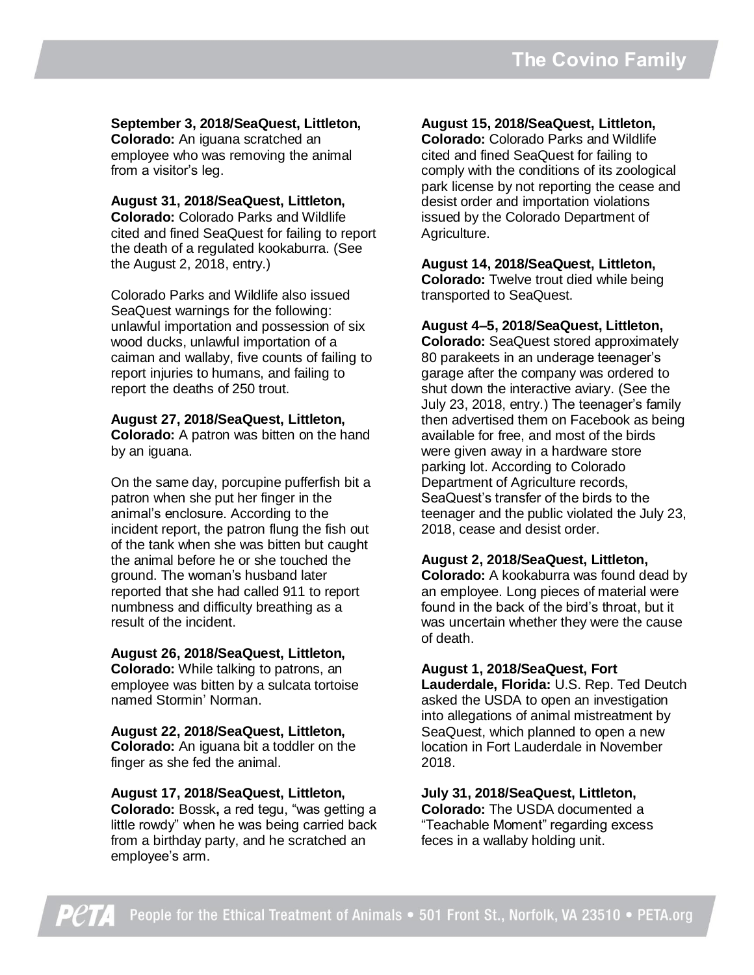**September 3, 2018/SeaQuest, Littleton, Colorado:** An iguana scratched an employee who was removing the animal from a visitor's leg.

**August 31, 2018/SeaQuest, Littleton, Colorado:** Colorado Parks and Wildlife cited and fined SeaQuest for failing to report the death of a regulated kookaburra. (See the August 2, 2018, entry.)

Colorado Parks and Wildlife also issued SeaQuest warnings for the following: unlawful importation and possession of six wood ducks, unlawful importation of a caiman and wallaby, five counts of failing to report injuries to humans, and failing to report the deaths of 250 trout.

**August 27, 2018/SeaQuest, Littleton, Colorado:** A patron was bitten on the hand by an iguana.

On the same day, porcupine pufferfish bit a patron when she put her finger in the animal's enclosure. According to the incident report, the patron flung the fish out of the tank when she was bitten but caught the animal before he or she touched the ground. The woman's husband later reported that she had called 911 to report numbness and difficulty breathing as a result of the incident.

**August 26, 2018/SeaQuest, Littleton,**

**Colorado:** While talking to patrons, an employee was bitten by a sulcata tortoise named Stormin' Norman.

**August 22, 2018/SeaQuest, Littleton, Colorado:** An iguana bit a toddler on the finger as she fed the animal.

**August 17, 2018/SeaQuest, Littleton, Colorado:** Bossk**,** a red tegu, "was getting a little rowdy" when he was being carried back from a birthday party, and he scratched an employee's arm.

**August 15, 2018/SeaQuest, Littleton,**

**Colorado:** Colorado Parks and Wildlife cited and fined SeaQuest for failing to comply with the conditions of its zoological park license by not reporting the cease and desist order and importation violations issued by the Colorado Department of Agriculture.

**August 14, 2018/SeaQuest, Littleton, Colorado:** Twelve trout died while being transported to SeaQuest.

**August 4–5, 2018/SeaQuest, Littleton, Colorado:** SeaQuest stored approximately 80 parakeets in an underage teenager's garage after the company was ordered to shut down the interactive aviary. (See the July 23, 2018, entry.) The teenager's family then advertised them on Facebook as being available for free, and most of the birds were given away in a hardware store parking lot. According to Colorado Department of Agriculture records, SeaQuest's transfer of the birds to the teenager and the public violated the July 23, 2018, cease and desist order.

#### **August 2, 2018/SeaQuest, Littleton,**

**Colorado:** A kookaburra was found dead by an employee. Long pieces of material were found in the back of the bird's throat, but it was uncertain whether they were the cause of death.

#### **August 1, 2018/SeaQuest, Fort**

**Lauderdale, Florida:** U.S. Rep. Ted Deutch asked the USDA to open an investigation into allegations of animal mistreatment by SeaQuest, which planned to open a new location in Fort Lauderdale in November 2018.

**July 31, 2018/SeaQuest, Littleton, Colorado:** The USDA documented a "Teachable Moment" regarding excess feces in a wallaby holding unit.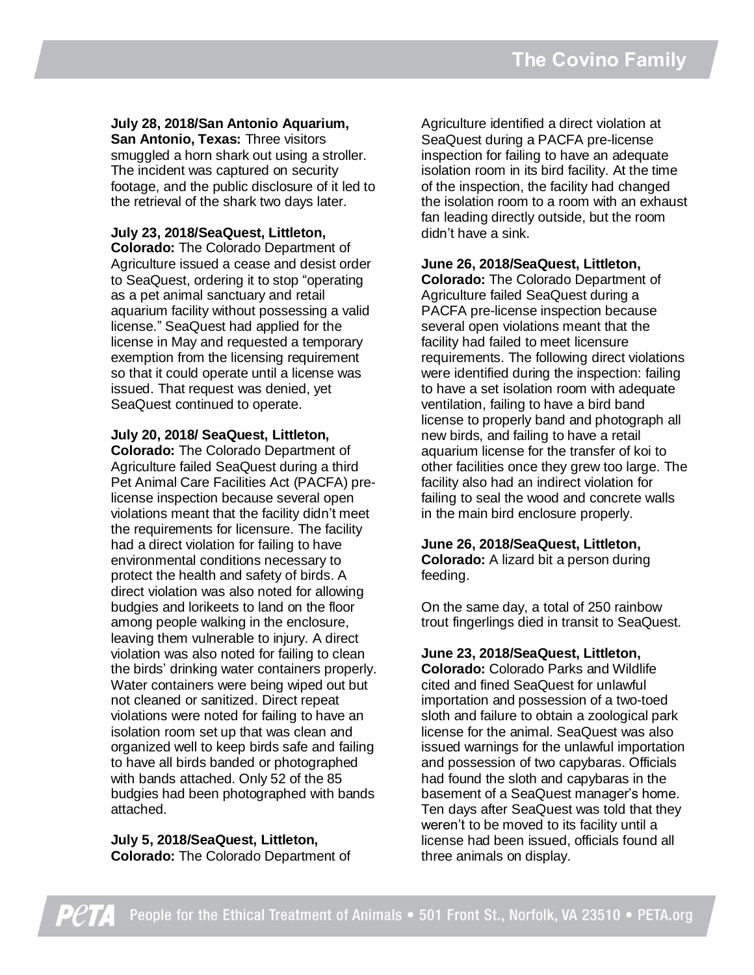#### **July 28, 2018/San Antonio Aquarium,**

**San Antonio, Texas:** Three visitors smuggled a horn shark out using a stroller. The incident was captured on security footage, and the public disclosure of it led to the retrieval of the shark two days later.

#### **July 23, 2018/SeaQuest, Littleton,**

**Colorado:** The Colorado Department of Agriculture issued a cease and desist order to SeaQuest, ordering it to stop "operating as a pet animal sanctuary and retail aquarium facility without possessing a valid license." SeaQuest had applied for the license in May and requested a temporary exemption from the licensing requirement so that it could operate until a license was issued. That request was denied, yet SeaQuest continued to operate.

**July 20, 2018/ SeaQuest, Littleton,** 

**Colorado:** The Colorado Department of Agriculture failed SeaQuest during a third Pet Animal Care Facilities Act (PACFA) prelicense inspection because several open violations meant that the facility didn't meet the requirements for licensure. The facility had a direct violation for failing to have environmental conditions necessary to protect the health and safety of birds. A direct violation was also noted for allowing budgies and lorikeets to land on the floor among people walking in the enclosure, leaving them vulnerable to injury. A direct violation was also noted for failing to clean the birds' drinking water containers properly. Water containers were being wiped out but not cleaned or sanitized. Direct repeat violations were noted for failing to have an isolation room set up that was clean and organized well to keep birds safe and failing to have all birds banded or photographed with bands attached. Only 52 of the 85 budgies had been photographed with bands attached.

**July 5, 2018/SeaQuest, Littleton, Colorado:** The Colorado Department of

Agriculture identified a direct violation at SeaQuest during a PACFA pre-license inspection for failing to have an adequate isolation room in its bird facility. At the time of the inspection, the facility had changed the isolation room to a room with an exhaust fan leading directly outside, but the room didn't have a sink.

#### **June 26, 2018/SeaQuest, Littleton,**

**Colorado:** The Colorado Department of Agriculture failed SeaQuest during a PACFA pre-license inspection because several open violations meant that the facility had failed to meet licensure requirements. The following direct violations were identified during the inspection: failing to have a set isolation room with adequate ventilation, failing to have a bird band license to properly band and photograph all new birds, and failing to have a retail aquarium license for the transfer of koi to other facilities once they grew too large. The facility also had an indirect violation for failing to seal the wood and concrete walls in the main bird enclosure properly.

# **June 26, 2018/SeaQuest, Littleton,**

**Colorado:** A lizard bit a person during feeding.

On the same day, a total of 250 rainbow trout fingerlings died in transit to SeaQuest.

#### **June 23, 2018/SeaQuest, Littleton,**

**Colorado:** Colorado Parks and Wildlife cited and fined SeaQuest for unlawful importation and possession of a two-toed sloth and failure to obtain a zoological park license for the animal. SeaQuest was also issued warnings for the unlawful importation and possession of two capybaras. Officials had found the sloth and capybaras in the basement of a SeaQuest manager's home. Ten days after SeaQuest was told that they weren't to be moved to its facility until a license had been issued, officials found all three animals on display.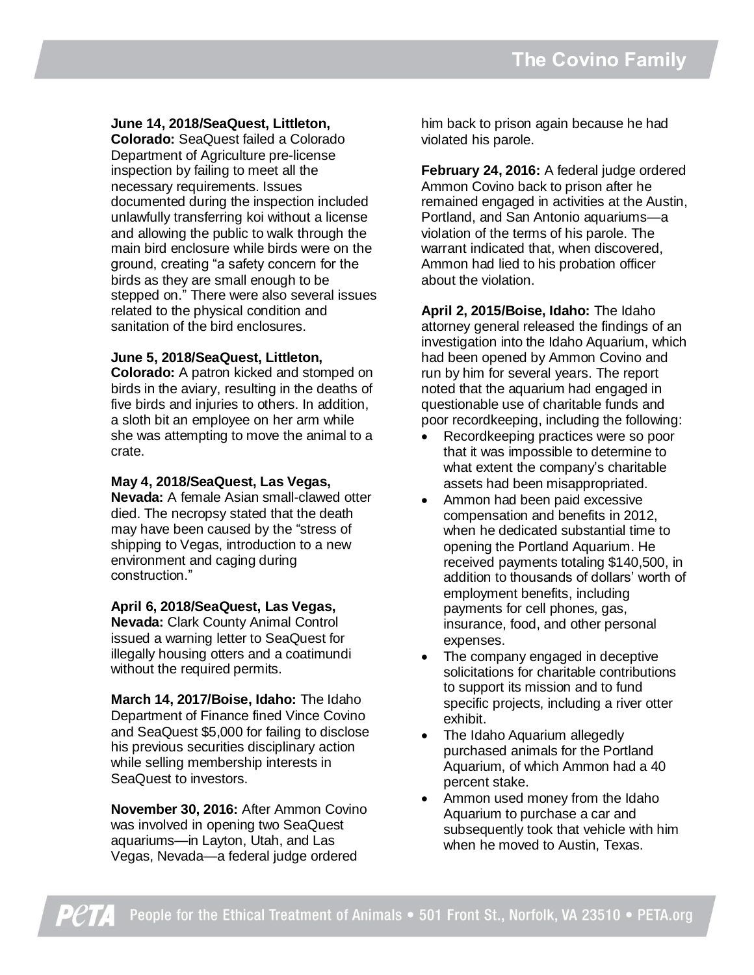#### **June 14, 2018/SeaQuest, Littleton,**

**Colorado:** SeaQuest failed a Colorado Department of Agriculture pre-license inspection by failing to meet all the necessary requirements. Issues documented during the inspection included unlawfully transferring koi without a license and allowing the public to walk through the main bird enclosure while birds were on the ground, creating "a safety concern for the birds as they are small enough to be stepped on." There were also several issues related to the physical condition and sanitation of the bird enclosures.

#### **June 5, 2018/SeaQuest, Littleton,**

**Colorado:** A patron kicked and stomped on birds in the aviary, resulting in the deaths of five birds and injuries to others. In addition, a sloth bit an employee on her arm while she was attempting to move the animal to a crate.

#### **May 4, 2018/SeaQuest, Las Vegas,**

**Nevada:** A female Asian small-clawed otter died. The necropsy stated that the death may have been caused by the "stress of shipping to Vegas, introduction to a new environment and caging during construction."

#### **April 6, 2018/SeaQuest, Las Vegas,**

**Nevada:** Clark County Animal Control issued a warning letter to SeaQuest for illegally housing otters and a coatimundi without the required permits.

**March 14, 2017/Boise, Idaho:** The Idaho Department of Finance fined Vince Covino and SeaQuest \$5,000 for failing to disclose his previous securities disciplinary action while selling membership interests in SeaQuest to investors.

**November 30, 2016:** After Ammon Covino was involved in opening two SeaQuest aquariums—in Layton, Utah, and Las Vegas, Nevada—a federal judge ordered

him back to prison again because he had violated his parole.

**February 24, 2016:** A federal judge ordered Ammon Covino back to prison after he remained engaged in activities at the Austin, Portland, and San Antonio aquariums—a violation of the terms of his parole. The warrant indicated that, when discovered, Ammon had lied to his probation officer about the violation.

**April 2, 2015/Boise, Idaho:** The Idaho attorney general released the findings of an investigation into the Idaho Aquarium, which had been opened by Ammon Covino and run by him for several years. The report noted that the aquarium had engaged in questionable use of charitable funds and poor recordkeeping, including the following:

- Recordkeeping practices were so poor that it was impossible to determine to what extent the company's charitable assets had been misappropriated.
- Ammon had been paid excessive compensation and benefits in 2012, when he dedicated substantial time to opening the Portland Aquarium. He received payments totaling \$140,500, in addition to thousands of dollars' worth of employment benefits, including payments for cell phones, gas, insurance, food, and other personal expenses.
- The company engaged in deceptive solicitations for charitable contributions to support its mission and to fund specific projects, including a river otter exhibit.
- The Idaho Aquarium allegedly purchased animals for the Portland Aquarium, of which Ammon had a 40 percent stake.
- Ammon used money from the Idaho Aquarium to purchase a car and subsequently took that vehicle with him when he moved to Austin, Texas.